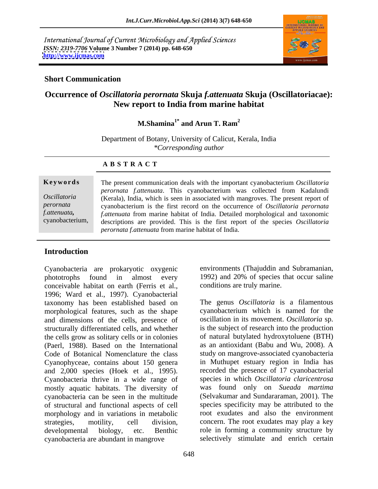International Journal of Current Microbiology and Applied Sciences *ISSN: 2319-7706* **Volume 3 Number 7 (2014) pp. 648-650 <http://www.ijcmas.com>**



#### **Short Communication**

# **Occurrence of** *Oscillatoria perornata* **Skuja** *f.attenuata* **Skuja (Oscillatoriacae): New report to India from marine habitat**

**M.Shamina<sup>1\*</sup>** and Arun T. Ram<sup>2</sup>  **and Arun T. Ram<sup>2</sup>**

Department of Botany, University of Calicut, Kerala, India *\*Corresponding author* 

#### **A B S T R A C T**

*f.attenuata,* 

**Ke ywo rds** The present communication deals with the important cyanobacterium *Oscillatoria Oscillatoria*  (Kerala), India, which is seen in associated with mangroves. The present report of *perornata*  cyanobacterium is the first record on the occurrence of *Oscillatoria perornata* cyanobacterium, descriptions are provided. This is the first report of the species *Oscillatoria perornata f.attenuata*. This cyanobacterium was collected from Kadalundi *f.attenuata* from marine habitat of India. Detailed morphological and taxonomic *perornata f.attenuata* from marine habitat of India.

## **Introduction**

Cyanobacteria are prokaryotic oxygenic phototrophs found in almost every 1992) and 20% of species that occur saline conceivable habitat on earth (Ferris et al., 1996; Ward et al., 1997). Cyanobacterial taxonomy has been established based on morphological features, such as the shape and dimensions of the cells, presence of structurally differentiated cells, and whether the cells grow as solitary cells or in colonies (Paerl, 1988). Based on the International Code of Botanical Nomenclature the class study on mangrove-associated cyanobacteria Cyanophyceae, contains about 150 genera and 2,000 species (Hoek et al., 1995). Cyanobacteria thrive in a wide range of mostly aquatic habitats. The diversity of cyanobacteria can be seen in the multitude of structural and functional aspects of cell morphology and in variations in metabolic strategies, motility, cell division, concern. The root exudates may play a key developmental biology, etc. Benthic role in forming a community structure by cyanobacteria are abundant in mangrove

environments (Thajuddin and Subramanian, conditions are truly marine.

The genus *Oscillatoria* is a filamentous cyanobacterium which is named for the oscillation in its movement. *Oscillatoria* sp. is the subject of research into the production of natural butylated hydroxytoluene (BTH) as an antioxidant (Babu and Wu, 2008). A in Muthupet estuary region in India has recorded the presence of 17 cyanobacterial species in which *Oscillatoria claricentrosa* was found only on *Sueada martima* (Selvakumar and Sundararaman, 2001). The species specificity may be attributed to the root exudates and also the environment selectively stimulate and enrich certain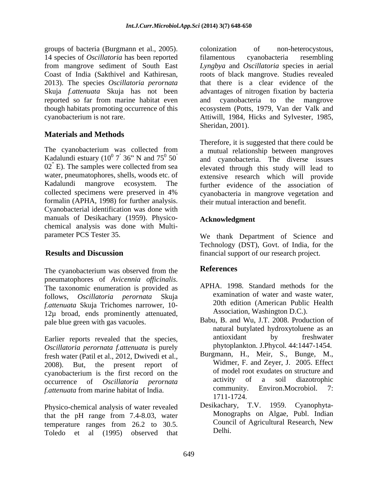groups of bacteria (Burgmann et al., 2005). 14 species of *Oscillatoria* has been reported 2013). The species *Oscillatoria perornata* Skuja *f.attenuata* Skuja has not been

# **Materials and Methods**

formalin (APHA, 1998) for further analysis. Cyanobacterial identification was done with manuals of Desikachary (1959). Physico chemical analysis was done with Multi-

The cyanobacterium was observed from the **References** pneumatophores of *Avicennia officinalis*.<br>The taxonomic enumeration is provided as <br>APHA. 1998. Standard methods for the follows, *Oscillatoria perornata* Skuja examination of water and waste water,<br>fattenuate Skuja Trichomes perrower 10. 20th edition (American Public Health *f.attenuata* Skuja Trichomes narrower, 10- 12µ broad, ends prominently attenuated, pale blue green with gas vacuoles.

*Oscillatoria perornata f.attenuata* is purely fresh water (Patil et al., 2012, Dwivedi et al., 2008). But, the present report of Widmer, F. and Zeyer, J. 2005. Effect cyanobacterium is the first record on the the set of original original percentage of  $Oscillatoria$ , percentage activity of a soil diazotrophic occurrence of *Oscillatoria perornata*

Physico-chemical analysis of water revealed that the pH range from 7.4-8.03, water Monographs on Algae, Publ. Indian<br>temperature ranges from 26.2 to 30.5 Council of Agricultural Research, New temperature ranges from 26.2 to 30.5. Toledo et al (1995) observed that

from mangrove sediment of South East *Lyngbya* and *Oscillatoria* species in aerial Coast of India (Sakthivel and Kathiresan, roots of black mangrove. Studies revealed reported so far from marine habitat even and cyanobacteria to the mangrove though habitats promoting occurrence of this ecosystem (Potts, 1979, Van der Valk and cyanobacterium is not rare. Attiwill, 1984, Hicks and Sylvester, 1985, colonization of non-heterocystous, filamentous cyanobacteria resembling that there is a clear evidence of the advantages of nitrogen fixation by bacteria Sheridan, 2001).

The cyanobacterium was collected from a mutual relationship between mangroves Kadalundi estuary  $(10^0 \, 7^7 \, 36^\circ \, N$  and  $75^0 \, 50^\circ$  and cyanobacteria. The diverse issues 02 E). The samples were collected from sea elevated through this study will lead to water, pneumatophores, shells, woods etc. of extensive research which will provide Kadalundi mangrove ecosystem. The further evidence of the association of collected specimens were preserved in 4% cyanobacteria in mangrove vegetation and Therefore, it is suggested that there could be their mutual interaction and benefit.

### **Acknowledgment**

parameter PCS Tester 35. We thank Department of Science and **Results and Discussion financial support of our research project.** Technology (DST), Govt. of India, for the

## **References**

- APHA. 1998. Standard methods for the examination of water and waste water, 20th edition (American Public Health Association, Washington D.C.).
- Earlier reports revealed that the species, antioxidant by freshwater Babu, B. and Wu, J.T. 2008. Production of natural butylated hydroxytoluene as an antioxidant by freshwater phytoplankton. J.Phycol*.* 44:1447-1454.
- *f.attenuata* from marine habitat of India. community. Environ.Mocrobiol. 7:<br>1711-1724. Burgmann, H., Meir, S., Bunge, M., of model root exudates on structure and activity of a soil diazotrophic Environ.Mocrobiol. 1711-1724.
	- Desikachary, T.V. 1959. Cyanophyta- Monographs on Algae, Publ. Indian Council of Agricultural Research, New Delhi.